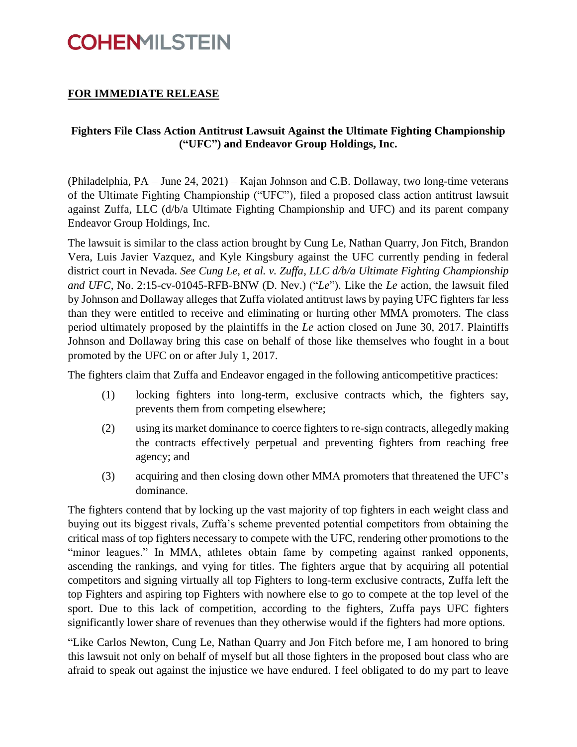## **COHENMILSTEIN**

### **FOR IMMEDIATE RELEASE**

#### **Fighters File Class Action Antitrust Lawsuit Against the Ultimate Fighting Championship ("UFC") and Endeavor Group Holdings, Inc.**

(Philadelphia, PA – June 24, 2021) – Kajan Johnson and C.B. Dollaway, two long-time veterans of the Ultimate Fighting Championship ("UFC"), filed a proposed class action antitrust lawsuit against Zuffa, LLC (d/b/a Ultimate Fighting Championship and UFC) and its parent company Endeavor Group Holdings, Inc.

The lawsuit is similar to the class action brought by Cung Le, Nathan Quarry, Jon Fitch, Brandon Vera, Luis Javier Vazquez, and Kyle Kingsbury against the UFC currently pending in federal district court in Nevada. *See Cung Le, et al. v. Zuffa*, *LLC d/b/a Ultimate Fighting Championship and UFC*, No. 2:15-cv-01045-RFB-BNW (D. Nev.) ("*Le*"). Like the *Le* action, the lawsuit filed by Johnson and Dollaway alleges that Zuffa violated antitrust laws by paying UFC fighters far less than they were entitled to receive and eliminating or hurting other MMA promoters. The class period ultimately proposed by the plaintiffs in the *Le* action closed on June 30, 2017. Plaintiffs Johnson and Dollaway bring this case on behalf of those like themselves who fought in a bout promoted by the UFC on or after July 1, 2017.

The fighters claim that Zuffa and Endeavor engaged in the following anticompetitive practices:

- (1) locking fighters into long-term, exclusive contracts which, the fighters say, prevents them from competing elsewhere;
- (2) using its market dominance to coerce fighters to re-sign contracts, allegedly making the contracts effectively perpetual and preventing fighters from reaching free agency; and
- (3) acquiring and then closing down other MMA promoters that threatened the UFC's dominance.

The fighters contend that by locking up the vast majority of top fighters in each weight class and buying out its biggest rivals, Zuffa's scheme prevented potential competitors from obtaining the critical mass of top fighters necessary to compete with the UFC, rendering other promotions to the "minor leagues." In MMA, athletes obtain fame by competing against ranked opponents, ascending the rankings, and vying for titles. The fighters argue that by acquiring all potential competitors and signing virtually all top Fighters to long-term exclusive contracts, Zuffa left the top Fighters and aspiring top Fighters with nowhere else to go to compete at the top level of the sport. Due to this lack of competition, according to the fighters, Zuffa pays UFC fighters significantly lower share of revenues than they otherwise would if the fighters had more options.

"Like Carlos Newton, Cung Le, Nathan Quarry and Jon Fitch before me, I am honored to bring this lawsuit not only on behalf of myself but all those fighters in the proposed bout class who are afraid to speak out against the injustice we have endured. I feel obligated to do my part to leave